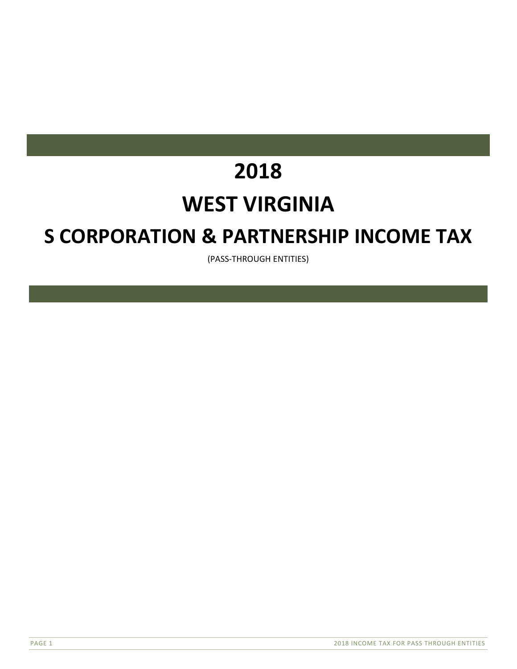# **2018**

# **WEST VIRGINIA**

# **S CORPORATION & PARTNERSHIP INCOME TAX**

(PASS‐THROUGH ENTITIES)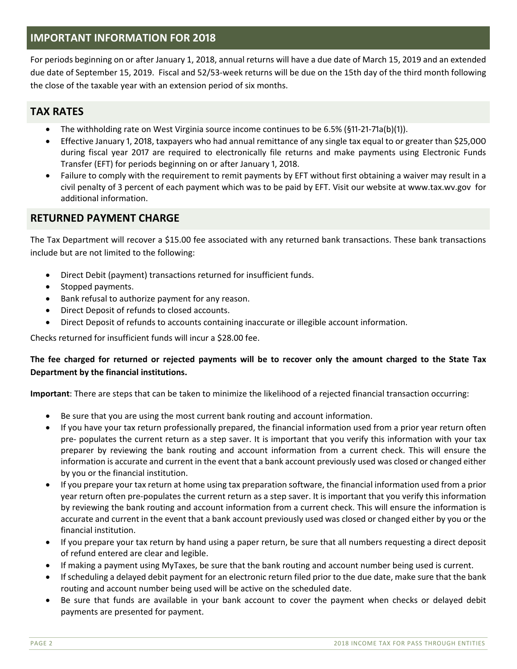## **IMPORTANT INFORMATION FOR 2018**

For periods beginning on or after January 1, 2018, annual returns will have a due date of March 15, 2019 and an extended due date of September 15, 2019. Fiscal and 52/53‐week returns will be due on the 15th day of the third month following the close of the taxable year with an extension period of six months.

# **TAX RATES**

- The withholding rate on West Virginia source income continues to be 6.5% (§11-21-71a(b)(1)).
- Effective January 1, 2018, taxpayers who had annual remittance of any single tax equal to or greater than \$25,000 during fiscal year 2017 are required to electronically file returns and make payments using Electronic Funds Transfer (EFT) for periods beginning on or after January 1, 2018.
- Failure to comply with the requirement to remit payments by EFT without first obtaining a waiver may result in a civil penalty of 3 percent of each payment which was to be paid by EFT. Visit our website at www.tax.wv.gov for additional information.

## **RETURNED PAYMENT CHARGE**

The Tax Department will recover a \$15.00 fee associated with any returned bank transactions. These bank transactions include but are not limited to the following:

- Direct Debit (payment) transactions returned for insufficient funds.
- Stopped payments.
- Bank refusal to authorize payment for any reason.
- Direct Deposit of refunds to closed accounts.
- Direct Deposit of refunds to accounts containing inaccurate or illegible account information.

Checks returned for insufficient funds will incur a \$28.00 fee.

#### **The fee charged for returned or rejected payments will be to recover only the amount charged to the State Tax Department by the financial institutions.**

**Important**: There are steps that can be taken to minimize the likelihood of a rejected financial transaction occurring:

- Be sure that you are using the most current bank routing and account information.
- If you have your tax return professionally prepared, the financial information used from a prior year return often pre‐ populates the current return as a step saver. It is important that you verify this information with your tax preparer by reviewing the bank routing and account information from a current check. This will ensure the information is accurate and current in the event that a bank account previously used was closed or changed either by you or the financial institution.
- If you prepare your tax return at home using tax preparation software, the financial information used from a prior year return often pre‐populates the current return as a step saver. It is important that you verify this information by reviewing the bank routing and account information from a current check. This will ensure the information is accurate and current in the event that a bank account previously used was closed or changed either by you or the financial institution.
- If you prepare your tax return by hand using a paper return, be sure that all numbers requesting a direct deposit of refund entered are clear and legible.
- If making a payment using MyTaxes, be sure that the bank routing and account number being used is current.
- If scheduling a delayed debit payment for an electronic return filed prior to the due date, make sure that the bank routing and account number being used will be active on the scheduled date.
- Be sure that funds are available in your bank account to cover the payment when checks or delayed debit payments are presented for payment.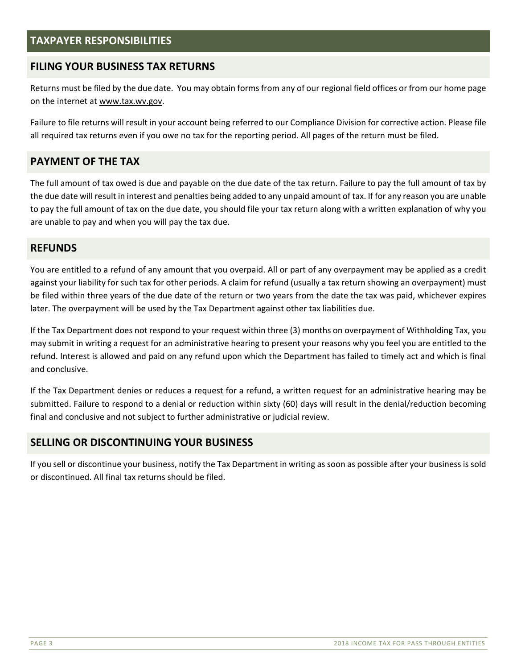## **TAXPAYER RESPONSIBILITIES**

## **FILING YOUR BUSINESS TAX RETURNS**

Returns must be filed by the due date. You may obtain forms from any of our regional field offices or from our home page on the internet at www.tax.wv.gov.

Failure to file returns will result in your account being referred to our Compliance Division for corrective action. Please file all required tax returns even if you owe no tax for the reporting period. All pages of the return must be filed.

## **PAYMENT OF THE TAX**

The full amount of tax owed is due and payable on the due date of the tax return. Failure to pay the full amount of tax by the due date will result in interest and penalties being added to any unpaid amount of tax. If for any reason you are unable to pay the full amount of tax on the due date, you should file your tax return along with a written explanation of why you are unable to pay and when you will pay the tax due.

#### **REFUNDS**

You are entitled to a refund of any amount that you overpaid. All or part of any overpayment may be applied as a credit against your liability for such tax for other periods. A claim for refund (usually a tax return showing an overpayment) must be filed within three years of the due date of the return or two years from the date the tax was paid, whichever expires later. The overpayment will be used by the Tax Department against other tax liabilities due.

If the Tax Department does not respond to your request within three (3) months on overpayment of Withholding Tax, you may submit in writing a request for an administrative hearing to present your reasons why you feel you are entitled to the refund. Interest is allowed and paid on any refund upon which the Department has failed to timely act and which is final and conclusive.

If the Tax Department denies or reduces a request for a refund, a written request for an administrative hearing may be submitted. Failure to respond to a denial or reduction within sixty (60) days will result in the denial/reduction becoming final and conclusive and not subject to further administrative or judicial review.

#### **SELLING OR DISCONTINUING YOUR BUSINESS**

If you sell or discontinue your business, notify the Tax Department in writing as soon as possible after your business is sold or discontinued. All final tax returns should be filed.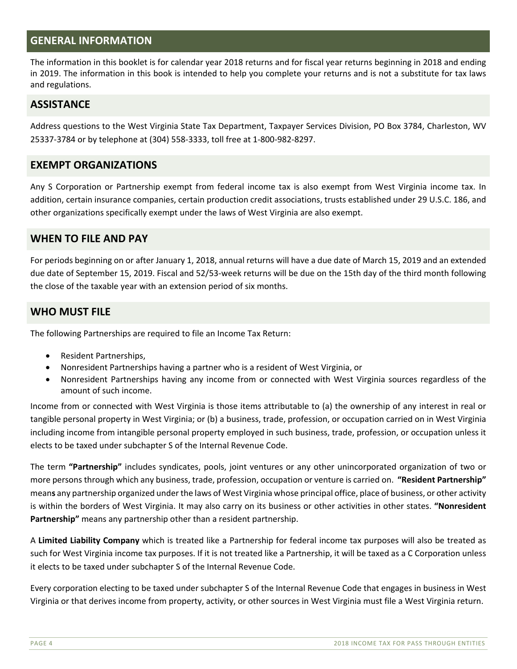## **GENERAL INFORMATION**

The information in this booklet is for calendar year 2018 returns and for fiscal year returns beginning in 2018 and ending in 2019. The information in this book is intended to help you complete your returns and is not a substitute for tax laws and regulations.

#### **ASSISTANCE**

Address questions to the West Virginia State Tax Department, Taxpayer Services Division, PO Box 3784, Charleston, WV 25337‐3784 or by telephone at (304) 558‐3333, toll free at 1‐800‐982‐8297.

#### **EXEMPT ORGANIZATIONS**

Any S Corporation or Partnership exempt from federal income tax is also exempt from West Virginia income tax. In addition, certain insurance companies, certain production credit associations, trusts established under 29 U.S.C. 186, and other organizations specifically exempt under the laws of West Virginia are also exempt.

#### **WHEN TO FILE AND PAY**

For periods beginning on or after January 1, 2018, annual returns will have a due date of March 15, 2019 and an extended due date of September 15, 2019. Fiscal and 52/53‐week returns will be due on the 15th day of the third month following the close of the taxable year with an extension period of six months.

#### **WHO MUST FILE**

The following Partnerships are required to file an Income Tax Return:

- Resident Partnerships,
- Nonresident Partnerships having a partner who is a resident of West Virginia, or
- Nonresident Partnerships having any income from or connected with West Virginia sources regardless of the amount of such income.

Income from or connected with West Virginia is those items attributable to (a) the ownership of any interest in real or tangible personal property in West Virginia; or (b) a business, trade, profession, or occupation carried on in West Virginia including income from intangible personal property employed in such business, trade, profession, or occupation unless it elects to be taxed under subchapter S of the Internal Revenue Code.

The term **"Partnership"** includes syndicates, pools, joint ventures or any other unincorporated organization of two or more persons through which any business, trade, profession, occupation or venture is carried on. **"Resident Partnership"**  mean**s** any partnership organized under the laws of West Virginia whose principal office, place of business, or other activity is within the borders of West Virginia. It may also carry on its business or other activities in other states. **"Nonresident Partnership"** means any partnership other than a resident partnership.

A **Limited Liability Company** which is treated like a Partnership for federal income tax purposes will also be treated as such for West Virginia income tax purposes. If it is not treated like a Partnership, it will be taxed as a C Corporation unless it elects to be taxed under subchapter S of the Internal Revenue Code.

Every corporation electing to be taxed under subchapter S of the Internal Revenue Code that engages in business in West Virginia or that derives income from property, activity, or other sources in West Virginia must file a West Virginia return.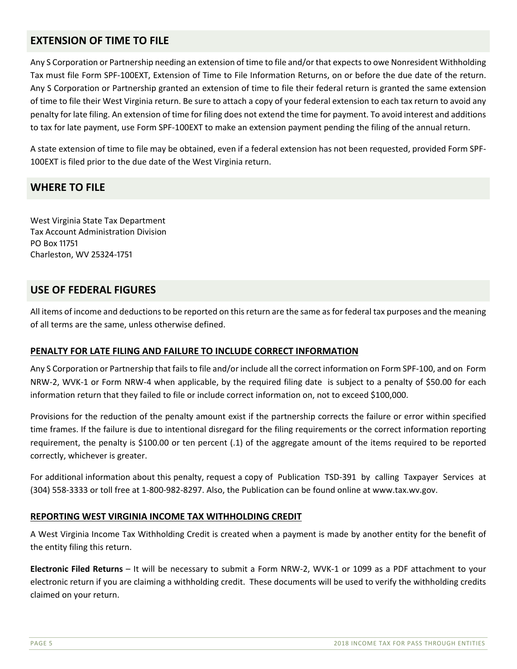## **EXTENSION OF TIME TO FILE**

Any S Corporation or Partnership needing an extension of time to file and/or that expects to owe Nonresident Withholding Tax must file Form SPF‐100EXT, Extension of Time to File Information Returns, on or before the due date of the return. Any S Corporation or Partnership granted an extension of time to file their federal return is granted the same extension of time to file their West Virginia return. Be sure to attach a copy of your federal extension to each tax return to avoid any penalty for late filing. An extension of time for filing does not extend the time for payment. To avoid interest and additions to tax for late payment, use Form SPF-100EXT to make an extension payment pending the filing of the annual return.

A state extension of time to file may be obtained, even if a federal extension has not been requested, provided Form SPF‐ 100EXT is filed prior to the due date of the West Virginia return.

#### **WHERE TO FILE**

West Virginia State Tax Department Tax Account Administration Division PO Box 11751 Charleston, WV 25324-1751

## **USE OF FEDERAL FIGURES**

All items of income and deductions to be reported on this return are the same as for federal tax purposes and the meaning of all terms are the same, unless otherwise defined.

#### **PENALTY FOR LATE FILING AND FAILURE TO INCLUDE CORRECT INFORMATION**

Any S Corporation or Partnership that fails to file and/or include all the correct information on Form SPF‐100, and on Form NRW‐2, WVK‐1 or Form NRW‐4 when applicable, by the required filing date is subject to a penalty of \$50.00 for each information return that they failed to file or include correct information on, not to exceed \$100,000.

Provisions for the reduction of the penalty amount exist if the partnership corrects the failure or error within specified time frames. If the failure is due to intentional disregard for the filing requirements or the correct information reporting requirement, the penalty is \$100.00 or ten percent (.1) of the aggregate amount of the items required to be reported correctly, whichever is greater.

For additional information about this penalty, request a copy of Publication TSD‐391 by calling Taxpayer Services at (304) 558‐3333 or toll free at 1‐800‐982‐8297. Also, the Publication can be found online at www.tax.wv.gov.

#### **REPORTING WEST VIRGINIA INCOME TAX WITHHOLDING CREDIT**

A West Virginia Income Tax Withholding Credit is created when a payment is made by another entity for the benefit of the entity filing this return.

**Electronic Filed Returns** – It will be necessary to submit a Form NRW‐2, WVK‐1 or 1099 as a PDF attachment to your electronic return if you are claiming a withholding credit. These documents will be used to verify the withholding credits claimed on your return.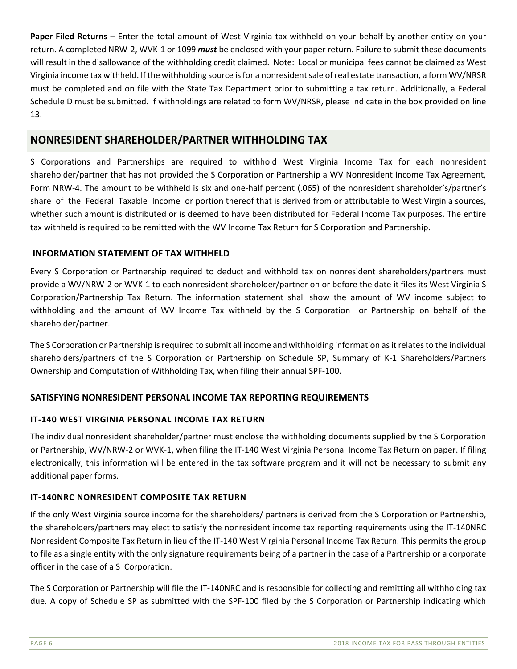**Paper Filed Returns** – Enter the total amount of West Virginia tax withheld on your behalf by another entity on your return. A completed NRW‐2, WVK‐1 or 1099 *must* be enclosed with your paper return. Failure to submit these documents will result in the disallowance of the withholding credit claimed. Note: Local or municipal fees cannot be claimed as West Virginia income tax withheld. If the withholding source is for a nonresident sale of real estate transaction, a form WV/NRSR must be completed and on file with the State Tax Department prior to submitting a tax return. Additionally, a Federal Schedule D must be submitted. If withholdings are related to form WV/NRSR, please indicate in the box provided on line 13.

## **NONRESIDENT SHAREHOLDER/PARTNER WITHHOLDING TAX**

S Corporations and Partnerships are required to withhold West Virginia Income Tax for each nonresident shareholder/partner that has not provided the S Corporation or Partnership a WV Nonresident Income Tax Agreement, Form NRW‐4. The amount to be withheld is six and one‐half percent (.065) of the nonresident shareholder's/partner's share of the Federal Taxable Income or portion thereof that is derived from or attributable to West Virginia sources, whether such amount is distributed or is deemed to have been distributed for Federal Income Tax purposes. The entire tax withheld is required to be remitted with the WV Income Tax Return for S Corporation and Partnership.

#### **INFORMATION STATEMENT OF TAX WITHHELD**

Every S Corporation or Partnership required to deduct and withhold tax on nonresident shareholders/partners must provide a WV/NRW‐2 or WVK‐1 to each nonresident shareholder/partner on or before the date it files its West Virginia S Corporation/Partnership Tax Return. The information statement shall show the amount of WV income subject to withholding and the amount of WV Income Tax withheld by the S Corporation or Partnership on behalf of the shareholder/partner.

The S Corporation or Partnership is required to submit all income and withholding information as it relates to the individual shareholders/partners of the S Corporation or Partnership on Schedule SP, Summary of K-1 Shareholders/Partners Ownership and Computation of Withholding Tax, when filing their annual SPF‐100.

#### **SATISFYING NONRESIDENT PERSONAL INCOME TAX REPORTING REQUIREMENTS**

#### **IT‐140 WEST VIRGINIA PERSONAL INCOME TAX RETURN**

The individual nonresident shareholder/partner must enclose the withholding documents supplied by the S Corporation or Partnership, WV/NRW‐2 or WVK‐1, when filing the IT‐140 West Virginia Personal Income Tax Return on paper. If filing electronically, this information will be entered in the tax software program and it will not be necessary to submit any additional paper forms.

#### **IT‐140NRC NONRESIDENT COMPOSITE TAX RETURN**

If the only West Virginia source income for the shareholders/ partners is derived from the S Corporation or Partnership, the shareholders/partners may elect to satisfy the nonresident income tax reporting requirements using the IT‐140NRC Nonresident Composite Tax Return in lieu of the IT‐140 West Virginia Personal Income Tax Return. This permits the group to file as a single entity with the only signature requirements being of a partner in the case of a Partnership or a corporate officer in the case of a S Corporation.

The S Corporation or Partnership will file the IT‐140NRC and is responsible for collecting and remitting all withholding tax due. A copy of Schedule SP as submitted with the SPF-100 filed by the S Corporation or Partnership indicating which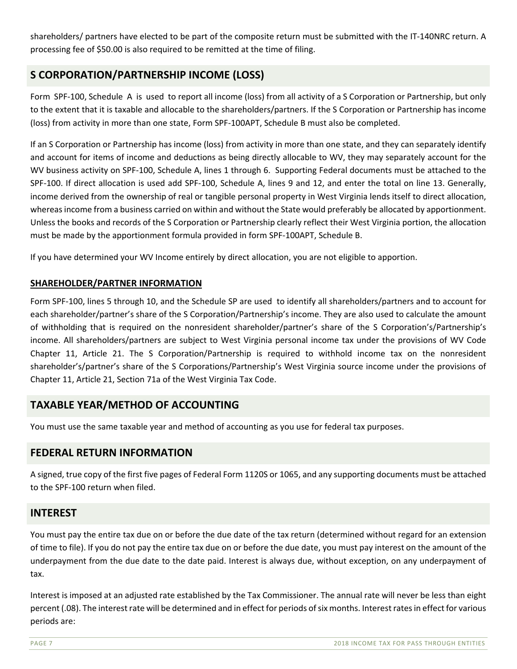shareholders/ partners have elected to be part of the composite return must be submitted with the IT-140NRC return. A processing fee of \$50.00 is also required to be remitted at the time of filing.

# **S CORPORATION/PARTNERSHIP INCOME (LOSS)**

Form SPF-100, Schedule A is used to report all income (loss) from all activity of a S Corporation or Partnership, but only to the extent that it is taxable and allocable to the shareholders/partners. If the S Corporation or Partnership has income (loss) from activity in more than one state, Form SPF‐100APT, Schedule B must also be completed.

If an S Corporation or Partnership has income (loss) from activity in more than one state, and they can separately identify and account for items of income and deductions as being directly allocable to WV, they may separately account for the WV business activity on SPF-100, Schedule A, lines 1 through 6. Supporting Federal documents must be attached to the SPF‐100. If direct allocation is used add SPF‐100, Schedule A, lines 9 and 12, and enter the total on line 13. Generally, income derived from the ownership of real or tangible personal property in West Virginia lends itself to direct allocation, whereas income from a business carried on within and without the State would preferably be allocated by apportionment. Unless the books and records of the S Corporation or Partnership clearly reflect their West Virginia portion, the allocation must be made by the apportionment formula provided in form SPF‐100APT, Schedule B.

If you have determined your WV Income entirely by direct allocation, you are not eligible to apportion.

#### **SHAREHOLDER/PARTNER INFORMATION**

Form SPF‐100, lines 5 through 10, and the Schedule SP are used to identify all shareholders/partners and to account for each shareholder/partner's share of the S Corporation/Partnership's income. They are also used to calculate the amount of withholding that is required on the nonresident shareholder/partner's share of the S Corporation's/Partnership's income. All shareholders/partners are subject to West Virginia personal income tax under the provisions of WV Code Chapter 11, Article 21. The S Corporation/Partnership is required to withhold income tax on the nonresident shareholder's/partner's share of the S Corporations/Partnership's West Virginia source income under the provisions of Chapter 11, Article 21, Section 71a of the West Virginia Tax Code.

## **TAXABLE YEAR/METHOD OF ACCOUNTING**

You must use the same taxable year and method of accounting as you use for federal tax purposes.

## **FEDERAL RETURN INFORMATION**

A signed, true copy of the first five pages of Federal Form 1120S or 1065, and any supporting documents must be attached to the SPF‐100 return when filed.

#### **INTEREST**

You must pay the entire tax due on or before the due date of the tax return (determined without regard for an extension of time to file). If you do not pay the entire tax due on or before the due date, you must pay interest on the amount of the underpayment from the due date to the date paid. Interest is always due, without exception, on any underpayment of tax.

Interest is imposed at an adjusted rate established by the Tax Commissioner. The annual rate will never be less than eight percent (.08). The interest rate will be determined and in effect for periods of six months. Interest rates in effect for various periods are: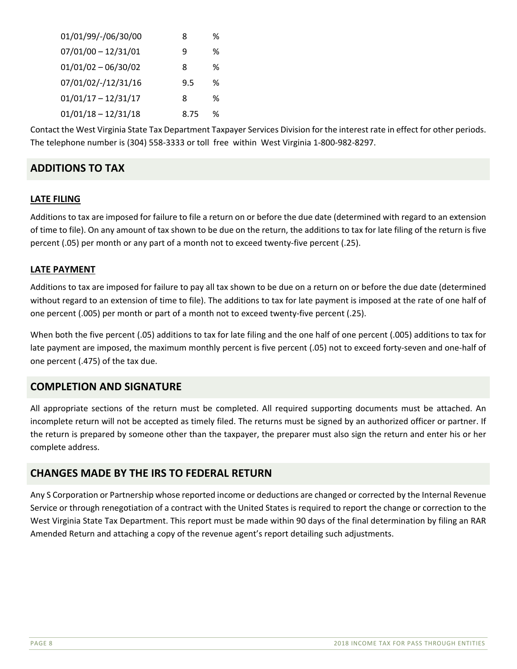| 01/01/99/-/06/30/00   | 8    | ℅ |
|-----------------------|------|---|
| $07/01/00 - 12/31/01$ | q    | ℅ |
| $01/01/02 - 06/30/02$ | 8    | ℅ |
| 07/01/02/-/12/31/16   | 9.5  | ℅ |
| $01/01/17 - 12/31/17$ | 8    | ℅ |
| $01/01/18 - 12/31/18$ | 8.75 | % |

Contact the West Virginia State Tax Department Taxpayer Services Division for the interest rate in effect for other periods. The telephone number is (304) 558‐3333 or toll free within West Virginia 1‐800‐982‐8297.

# **ADDITIONS TO TAX**

#### **LATE FILING**

Additions to tax are imposed for failure to file a return on or before the due date (determined with regard to an extension of time to file). On any amount of tax shown to be due on the return, the additions to tax for late filing of the return is five percent (.05) per month or any part of a month not to exceed twenty‐five percent (.25).

#### **LATE PAYMENT**

Additions to tax are imposed for failure to pay all tax shown to be due on a return on or before the due date (determined without regard to an extension of time to file). The additions to tax for late payment is imposed at the rate of one half of one percent (.005) per month or part of a month not to exceed twenty‐five percent (.25).

When both the five percent (.05) additions to tax for late filing and the one half of one percent (.005) additions to tax for late payment are imposed, the maximum monthly percent is five percent (.05) not to exceed forty-seven and one-half of one percent (.475) of the tax due.

## **COMPLETION AND SIGNATURE**

All appropriate sections of the return must be completed. All required supporting documents must be attached. An incomplete return will not be accepted as timely filed. The returns must be signed by an authorized officer or partner. If the return is prepared by someone other than the taxpayer, the preparer must also sign the return and enter his or her complete address.

#### **CHANGES MADE BY THE IRS TO FEDERAL RETURN**

Any S Corporation or Partnership whose reported income or deductions are changed or corrected by the Internal Revenue Service or through renegotiation of a contract with the United States is required to report the change or correction to the West Virginia State Tax Department. This report must be made within 90 days of the final determination by filing an RAR Amended Return and attaching a copy of the revenue agent's report detailing such adjustments.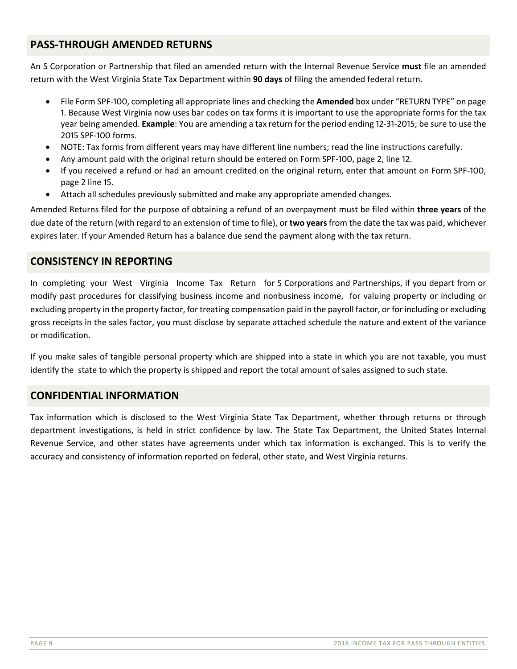# **PASS‐THROUGH AMENDED RETURNS**

An S Corporation or Partnership that filed an amended return with the Internal Revenue Service **must** file an amended return with the West Virginia State Tax Department within **90 days** of filing the amended federal return.

- File Form SPF-100, completing all appropriate lines and checking the **Amended** box under "RETURN TYPE" on page 1. Because West Virginia now uses bar codes on tax forms it is important to use the appropriate forms for the tax year being amended. **Example**: You are amending a tax return for the period ending 12-31-2015; be sure to use the 2015 SPF-100 forms.
- NOTE: Tax forms from different years may have different line numbers; read the line instructions carefully.
- Any amount paid with the original return should be entered on Form SPF-100, page 2, line 12.
- If you received a refund or had an amount credited on the original return, enter that amount on Form SPF-100, page 2 line 15.
- Attach all schedules previously submitted and make any appropriate amended changes.

Amended Returns filed for the purpose of obtaining a refund of an overpayment must be filed within **three years** of the due date of the return (with regard to an extension of time to file), or **two years** from the date the tax was paid, whichever expires later. If your Amended Return has a balance due send the payment along with the tax return.

## **CONSISTENCY IN REPORTING**

In completing your West Virginia Income Tax Return for S Corporations and Partnerships, if you depart from or modify past procedures for classifying business income and nonbusiness income, for valuing property or including or excluding property in the property factor, for treating compensation paid in the payroll factor, or for including or excluding gross receipts in the sales factor, you must disclose by separate attached schedule the nature and extent of the variance or modification.

If you make sales of tangible personal property which are shipped into a state in which you are not taxable, you must identify the state to which the property is shipped and report the total amount of sales assigned to such state.

#### **CONFIDENTIAL INFORMATION**

Tax information which is disclosed to the West Virginia State Tax Department, whether through returns or through department investigations, is held in strict confidence by law. The State Tax Department, the United States Internal Revenue Service, and other states have agreements under which tax information is exchanged. This is to verify the accuracy and consistency of information reported on federal, other state, and West Virginia returns.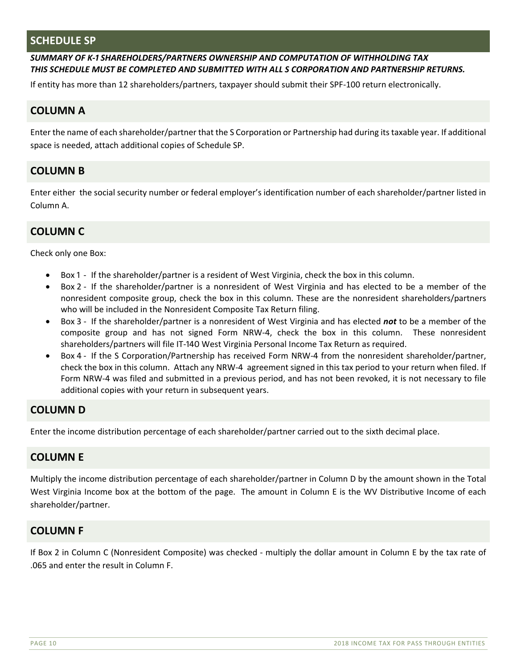#### **SCHEDULE SP**

#### SUMMARY OF K-1 SHAREHOLDERS/PARTNERS OWNERSHIP AND COMPUTATION OF WITHHOLDING TAX *THIS SCHEDULE MUST BE COMPLETED AND SUBMITTED WITH ALL S CORPORATION AND PARTNERSHIP RETURNS.*

If entity has more than 12 shareholders/partners, taxpayer should submit their SPF‐100 return electronically.

## **COLUMN A**

Enter the name of each shareholder/partner that the S Corporation or Partnership had during its taxable year. If additional space is needed, attach additional copies of Schedule SP.

## **COLUMN B**

Enter either the social security number or federal employer's identification number of each shareholder/partner listed in Column A.

#### **COLUMN C**

Check only one Box:

- Box 1 If the shareholder/partner is a resident of West Virginia, check the box in this column.
- Box 2 If the shareholder/partner is a nonresident of West Virginia and has elected to be a member of the nonresident composite group, check the box in this column. These are the nonresident shareholders/partners who will be included in the Nonresident Composite Tax Return filing.
- Box 3 If the shareholder/partner is a nonresident of West Virginia and has elected not to be a member of the composite group and has not signed Form NRW-4, check the box in this column. These nonresident shareholders/partners will file IT-140 West Virginia Personal Income Tax Return as required.
- Box 4 If the S Corporation/Partnership has received Form NRW-4 from the nonresident shareholder/partner, check the box in this column. Attach any NRW-4 agreement signed in this tax period to your return when filed. If Form NRW-4 was filed and submitted in a previous period, and has not been revoked, it is not necessary to file additional copies with your return in subsequent years.

## **COLUMN D**

Enter the income distribution percentage of each shareholder/partner carried out to the sixth decimal place.

#### **COLUMN E**

Multiply the income distribution percentage of each shareholder/partner in Column D by the amount shown in the Total West Virginia Income box at the bottom of the page. The amount in Column E is the WV Distributive Income of each shareholder/partner.

#### **COLUMN F**

If Box 2 in Column C (Nonresident Composite) was checked ‐ multiply the dollar amount in Column E by the tax rate of .065 and enter the result in Column F.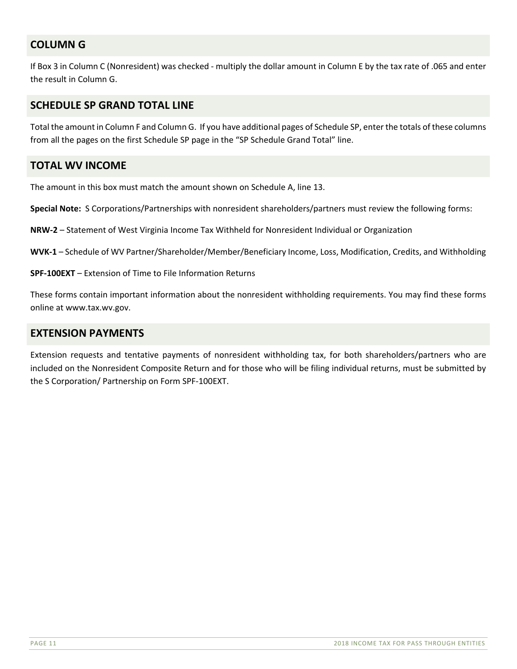# **COLUMN G**

If Box 3 in Column C (Nonresident) was checked - multiply the dollar amount in Column E by the tax rate of .065 and enter the result in Column G.

## **SCHEDULE SP GRAND TOTAL LINE**

Total the amount in Column F and Column G. If you have additional pages of Schedule SP, enter the totals of these columns from all the pages on the first Schedule SP page in the "SP Schedule Grand Total" line.

#### **TOTAL WV INCOME**

The amount in this box must match the amount shown on Schedule A, line 13.

**Special Note:** S Corporations/Partnerships with nonresident shareholders/partners must review the following forms:

**NRW‐2** – Statement of West Virginia Income Tax Withheld for Nonresident Individual or Organization

**WVK‐1** – Schedule of WV Partner/Shareholder/Member/Beneficiary Income, Loss, Modification, Credits, and Withholding

**SPF‐100EXT** – Extension of Time to File Information Returns

These forms contain important information about the nonresident withholding requirements. You may find these forms online at www.tax.wv.gov.

#### **EXTENSION PAYMENTS**

Extension requests and tentative payments of nonresident withholding tax, for both shareholders/partners who are included on the Nonresident Composite Return and for those who will be filing individual returns, must be submitted by the S Corporation/ Partnership on Form SPF‐100EXT.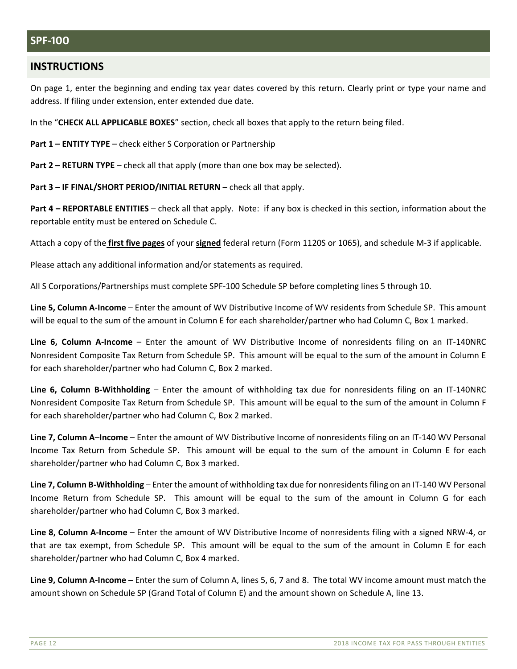### **SPF-100**

#### **INSTRUCTIONS**

On page 1, enter the beginning and ending tax year dates covered by this return. Clearly print or type your name and address. If filing under extension, enter extended due date.

In the "**CHECK ALL APPLICABLE BOXES**" section, check all boxes that apply to the return being filed.

**Part 1 – ENTITY TYPE** – check either S Corporation or Partnership

**Part 2 – RETURN TYPE** – check all that apply (more than one box may be selected).

**Part 3 – IF FINAL/SHORT PERIOD/INITIAL RETURN** – check all that apply.

**Part 4 – REPORTABLE ENTITIES** – check all that apply. Note: if any box is checked in this section, information about the reportable entity must be entered on Schedule C.

Attach a copy of the **first five pages** of your **signed** federal return (Form 1120S or 1065), and schedule M‐3 if applicable.

Please attach any additional information and/or statements as required.

All S Corporations/Partnerships must complete SPF‐100 Schedule SP before completing lines 5 through 10.

**Line 5, Column A‐Income** – Enter the amount of WV Distributive Income of WV residents from Schedule SP. This amount will be equal to the sum of the amount in Column E for each shareholder/partner who had Column C, Box 1 marked.

**Line 6, Column A‐Income** – Enter the amount of WV Distributive Income of nonresidents filing on an IT‐140NRC Nonresident Composite Tax Return from Schedule SP. This amount will be equal to the sum of the amount in Column E for each shareholder/partner who had Column C, Box 2 marked.

**Line 6, Column B-Withholding** – Enter the amount of withholding tax due for nonresidents filing on an IT-140NRC Nonresident Composite Tax Return from Schedule SP. This amount will be equal to the sum of the amount in Column F for each shareholder/partner who had Column C, Box 2 marked.

**Line 7, Column A**–**Income** – Enter the amount of WV Distributive Income of nonresidents filing on an IT‐140 WV Personal Income Tax Return from Schedule SP. This amount will be equal to the sum of the amount in Column E for each shareholder/partner who had Column C, Box 3 marked.

**Line 7, Column B‐Withholding** – Enter the amount of withholding tax due for nonresidents filing on an IT‐140 WV Personal Income Return from Schedule SP. This amount will be equal to the sum of the amount in Column G for each shareholder/partner who had Column C, Box 3 marked.

**Line 8, Column A‐Income** – Enter the amount of WV Distributive Income of nonresidents filing with a signed NRW‐4, or that are tax exempt, from Schedule SP. This amount will be equal to the sum of the amount in Column E for each shareholder/partner who had Column C, Box 4 marked.

**Line 9, Column A‐Income** – Enter the sum of Column A, lines 5, 6, 7 and 8. The total WV income amount must match the amount shown on Schedule SP (Grand Total of Column E) and the amount shown on Schedule A, line 13.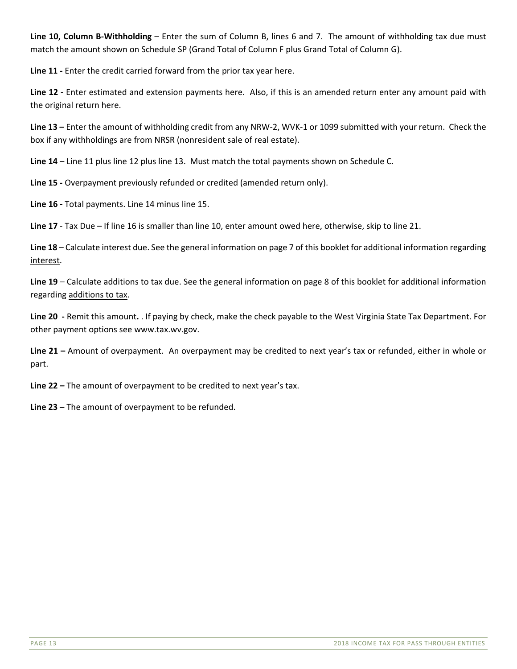**Line 10, Column B‐Withholding** – Enter the sum of Column B, lines 6 and 7. The amount of withholding tax due must match the amount shown on Schedule SP (Grand Total of Column F plus Grand Total of Column G).

Line 11 - Enter the credit carried forward from the prior tax year here.

Line 12 - Enter estimated and extension payments here. Also, if this is an amended return enter any amount paid with the original return here.

**Line 13 –** Enter the amount of withholding credit from any NRW‐2, WVK‐1 or 1099 submitted with your return. Check the box if any withholdings are from NRSR (nonresident sale of real estate).

**Line 14** – Line 11 plus line 12 plus line 13. Must match the total payments shown on Schedule C.

**Line 15 ‐** Overpayment previously refunded or credited (amended return only).

Line 16 - Total payments. Line 14 minus line 15.

**Line 17** ‐ Tax Due – If line 16 is smaller than line 10, enter amount owed here, otherwise, skip to line 21.

**Line 18** – Calculate interest due. See the general information on page 7 of this booklet for additional information regarding interest.

**Line 19** – Calculate additions to tax due. See the general information on page 8 of this booklet for additional information regarding additions to tax.

**Line 20 ‐** Remit this amount**.** . If paying by check, make the check payable to the West Virginia State Tax Department. For other payment options see www.tax.wv.gov.

**Line 21 –** Amount of overpayment. An overpayment may be credited to next year's tax or refunded, either in whole or part.

**Line 22 –** The amount of overpayment to be credited to next year's tax.

**Line 23 –** The amount of overpayment to be refunded.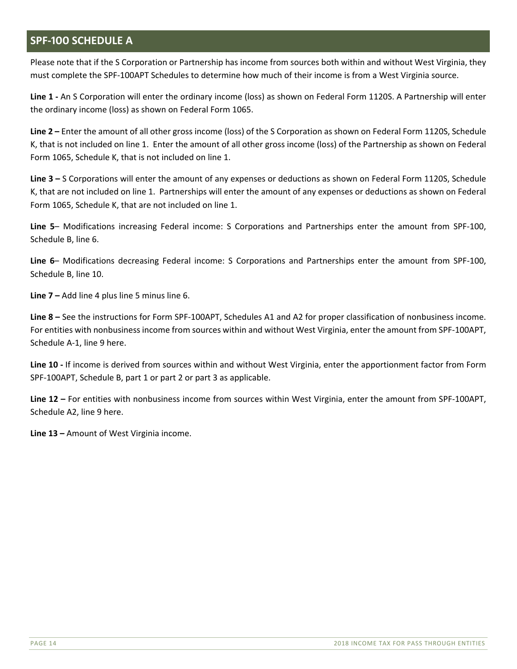# **SPF-100 SCHEDULE A**

Please note that if the S Corporation or Partnership has income from sources both within and without West Virginia, they must complete the SPF‐100APT Schedules to determine how much of their income is from a West Virginia source.

**Line 1 ‐** An S Corporation will enter the ordinary income (loss) as shown on Federal Form 1120S. A Partnership will enter the ordinary income (loss) as shown on Federal Form 1065.

**Line 2 –** Enter the amount of all other gross income (loss) of the S Corporation as shown on Federal Form 1120S, Schedule K, that is not included on line 1. Enter the amount of all other gross income (loss) of the Partnership as shown on Federal Form 1065, Schedule K, that is not included on line 1.

**Line 3 –** S Corporations will enter the amount of any expenses or deductions as shown on Federal Form 1120S, Schedule K, that are not included on line 1. Partnerships will enter the amount of any expenses or deductions as shown on Federal Form 1065, Schedule K, that are not included on line 1.

**Line 5**– Modifications increasing Federal income: S Corporations and Partnerships enter the amount from SPF‐100, Schedule B, line 6.

Line 6– Modifications decreasing Federal income: S Corporations and Partnerships enter the amount from SPF-100, Schedule B, line 10.

**Line 7 –** Add line 4 plus line 5 minus line 6.

**Line 8 –** See the instructions for Form SPF‐100APT, Schedules A1 and A2 for proper classification of nonbusiness income. For entities with nonbusiness income from sources within and without West Virginia, enter the amount from SPF‐100APT, Schedule A‐1, line 9 here.

**Line 10 ‐** If income is derived from sources within and without West Virginia, enter the apportionment factor from Form SPF-100APT, Schedule B, part 1 or part 2 or part 3 as applicable.

**Line 12 –** For entities with nonbusiness income from sources within West Virginia, enter the amount from SPF‐100APT, Schedule A2, line 9 here.

**Line 13 –** Amount of West Virginia income.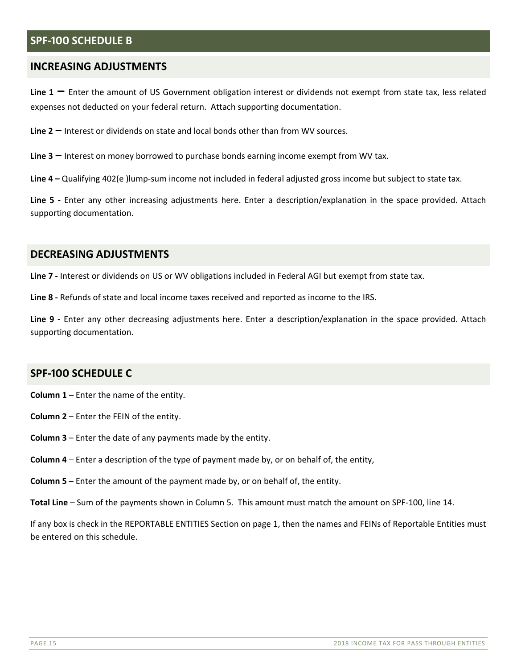#### **SPF-100 SCHEDULE B**

#### **INCREASING ADJUSTMENTS**

**Line 1 –** Enter the amount of US Government obligation interest or dividends not exempt from state tax, less related expenses not deducted on your federal return. Attach supporting documentation.

**Line 2 –** Interest or dividends on state and local bonds other than from WV sources.

**Line 3 –** Interest on money borrowed to purchase bonds earning income exempt from WV tax.

**Line 4 –** Qualifying 402(e )lump‐sum income not included in federal adjusted gross income but subject to state tax.

Line 5 - Enter any other increasing adjustments here. Enter a description/explanation in the space provided. Attach supporting documentation.

#### **DECREASING ADJUSTMENTS**

Line 7 - Interest or dividends on US or WV obligations included in Federal AGI but exempt from state tax.

**Line 8 ‐** Refunds of state and local income taxes received and reported as income to the IRS.

Line 9 - Enter any other decreasing adjustments here. Enter a description/explanation in the space provided. Attach supporting documentation.

#### **SPF-100 SCHEDULE C**

**Column 1 –** Enter the name of the entity.

- **Column 2** Enter the FEIN of the entity.
- **Column 3** Enter the date of any payments made by the entity.
- **Column 4** Enter a description of the type of payment made by, or on behalf of, the entity,
- **Column 5** Enter the amount of the payment made by, or on behalf of, the entity.
- **Total Line** Sum of the payments shown in Column 5. This amount must match the amount on SPF‐100, line 14.

If any box is check in the REPORTABLE ENTITIES Section on page 1, then the names and FEINs of Reportable Entities must be entered on this schedule.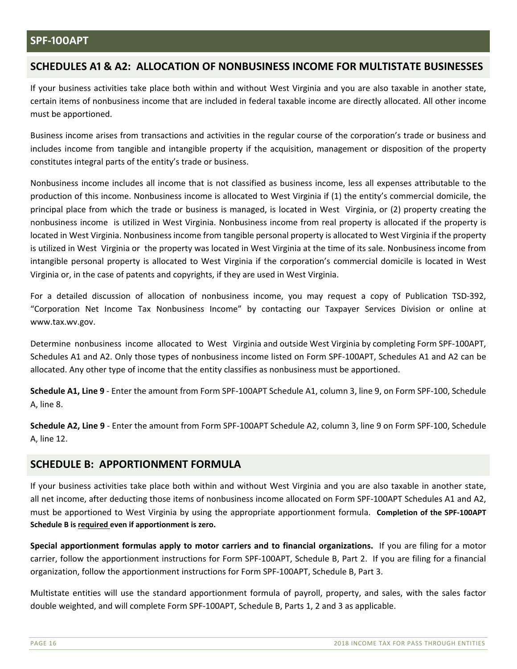#### **SPF-100APT**

## **SCHEDULES A1 & A2: ALLOCATION OF NONBUSINESS INCOME FOR MULTISTATE BUSINESSES**

If your business activities take place both within and without West Virginia and you are also taxable in another state, certain items of nonbusiness income that are included in federal taxable income are directly allocated. All other income must be apportioned.

Business income arises from transactions and activities in the regular course of the corporation's trade or business and includes income from tangible and intangible property if the acquisition, management or disposition of the property constitutes integral parts of the entity's trade or business.

Nonbusiness income includes all income that is not classified as business income, less all expenses attributable to the production of this income. Nonbusiness income is allocated to West Virginia if (1) the entity's commercial domicile, the principal place from which the trade or business is managed, is located in West Virginia, or (2) property creating the nonbusiness income is utilized in West Virginia. Nonbusiness income from real property is allocated if the property is located in West Virginia. Nonbusiness income from tangible personal property is allocated to West Virginia if the property is utilized in West Virginia or the property was located in West Virginia at the time of its sale. Nonbusiness income from intangible personal property is allocated to West Virginia if the corporation's commercial domicile is located in West Virginia or, in the case of patents and copyrights, if they are used in West Virginia.

For a detailed discussion of allocation of nonbusiness income, you may request a copy of Publication TSD-392, "Corporation Net Income Tax Nonbusiness Income" by contacting our Taxpayer Services Division or online at www.tax.wv.gov.

Determine nonbusiness income allocated to West Virginia and outside West Virginia by completing Form SPF‐100APT, Schedules A1 and A2. Only those types of nonbusiness income listed on Form SPF‐100APT, Schedules A1 and A2 can be allocated. Any other type of income that the entity classifies as nonbusiness must be apportioned.

**Schedule A1, Line 9** ‐ Enter the amount from Form SPF‐100APT Schedule A1, column 3, line 9, on Form SPF‐100, Schedule A, line 8.

**Schedule A2, Line 9** ‐ Enter the amount from Form SPF‐100APT Schedule A2, column 3, line 9 on Form SPF‐100, Schedule A, line 12.

#### **SCHEDULE B: APPORTIONMENT FORMULA**

If your business activities take place both within and without West Virginia and you are also taxable in another state, all net income, after deducting those items of nonbusiness income allocated on Form SPF‐100APT Schedules A1 and A2, must be apportioned to West Virginia by using the appropriate apportionment formula. **Completion of the SPF‐100APT Schedule B is required even if apportionment is zero.**

**Special apportionment formulas apply to motor carriers and to financial organizations.** If you are filing for a motor carrier, follow the apportionment instructions for Form SPF‐100APT, Schedule B, Part 2. If you are filing for a financial organization, follow the apportionment instructions for Form SPF‐100APT, Schedule B, Part 3.

Multistate entities will use the standard apportionment formula of payroll, property, and sales, with the sales factor double weighted, and will complete Form SPF‐100APT, Schedule B, Parts 1, 2 and 3 as applicable.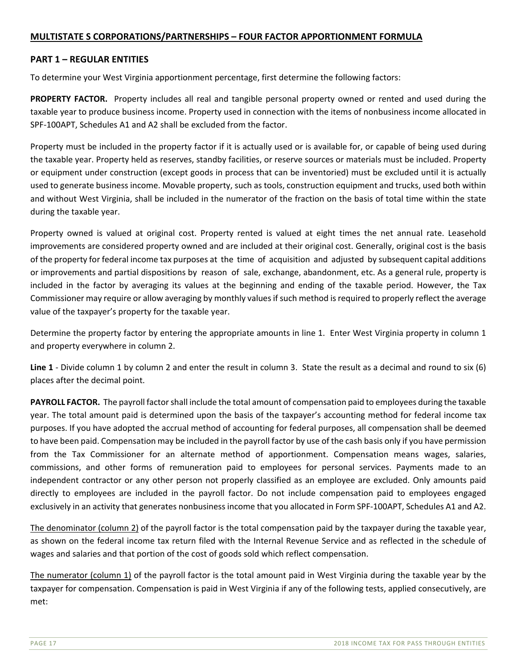#### **MULTISTATE S CORPORATIONS/PARTNERSHIPS – FOUR FACTOR APPORTIONMENT FORMULA**

#### **PART 1 – REGULAR ENTITIES**

To determine your West Virginia apportionment percentage, first determine the following factors:

**PROPERTY FACTOR.** Property includes all real and tangible personal property owned or rented and used during the taxable year to produce business income. Property used in connection with the items of nonbusiness income allocated in SPF‐100APT, Schedules A1 and A2 shall be excluded from the factor.

Property must be included in the property factor if it is actually used or is available for, or capable of being used during the taxable year. Property held as reserves, standby facilities, or reserve sources or materials must be included. Property or equipment under construction (except goods in process that can be inventoried) must be excluded until it is actually used to generate business income. Movable property, such as tools, construction equipment and trucks, used both within and without West Virginia, shall be included in the numerator of the fraction on the basis of total time within the state during the taxable year.

Property owned is valued at original cost. Property rented is valued at eight times the net annual rate. Leasehold improvements are considered property owned and are included at their original cost. Generally, original cost is the basis of the property for federal income tax purposes at the time of acquisition and adjusted by subsequent capital additions or improvements and partial dispositions by reason of sale, exchange, abandonment, etc. As a general rule, property is included in the factor by averaging its values at the beginning and ending of the taxable period. However, the Tax Commissioner may require or allow averaging by monthly values if such method is required to properly reflect the average value of the taxpayer's property for the taxable year.

Determine the property factor by entering the appropriate amounts in line 1. Enter West Virginia property in column 1 and property everywhere in column 2.

**Line 1** ‐ Divide column 1 by column 2 and enter the result in column 3. State the result as a decimal and round to six (6) places after the decimal point.

**PAYROLL FACTOR.** The payroll factor shall include the total amount of compensation paid to employees during the taxable year. The total amount paid is determined upon the basis of the taxpayer's accounting method for federal income tax purposes. If you have adopted the accrual method of accounting for federal purposes, all compensation shall be deemed to have been paid. Compensation may be included in the payroll factor by use of the cash basis only if you have permission from the Tax Commissioner for an alternate method of apportionment. Compensation means wages, salaries, commissions, and other forms of remuneration paid to employees for personal services. Payments made to an independent contractor or any other person not properly classified as an employee are excluded. Only amounts paid directly to employees are included in the payroll factor. Do not include compensation paid to employees engaged exclusively in an activity that generates nonbusiness income that you allocated in Form SPF-100APT, Schedules A1 and A2.

The denominator (column 2) of the payroll factor is the total compensation paid by the taxpayer during the taxable year, as shown on the federal income tax return filed with the Internal Revenue Service and as reflected in the schedule of wages and salaries and that portion of the cost of goods sold which reflect compensation.

The numerator (column 1) of the payroll factor is the total amount paid in West Virginia during the taxable year by the taxpayer for compensation. Compensation is paid in West Virginia if any of the following tests, applied consecutively, are met: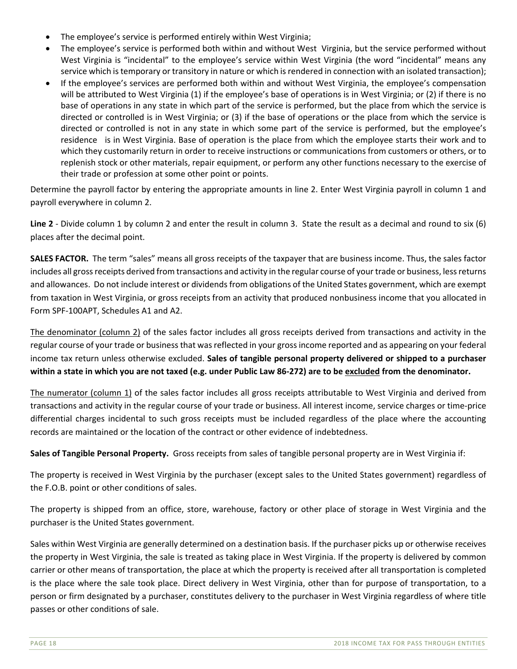- The employee's service is performed entirely within West Virginia;
- The employee's service is performed both within and without West Virginia, but the service performed without West Virginia is "incidental" to the employee's service within West Virginia (the word "incidental" means any service which is temporary or transitory in nature or which is rendered in connection with an isolated transaction);
- If the employee's services are performed both within and without West Virginia, the employee's compensation will be attributed to West Virginia (1) if the employee's base of operations is in West Virginia; or (2) if there is no base of operations in any state in which part of the service is performed, but the place from which the service is directed or controlled is in West Virginia; or (3) if the base of operations or the place from which the service is directed or controlled is not in any state in which some part of the service is performed, but the employee's residence is in West Virginia. Base of operation is the place from which the employee starts their work and to which they customarily return in order to receive instructions or communications from customers or others, or to replenish stock or other materials, repair equipment, or perform any other functions necessary to the exercise of their trade or profession at some other point or points.

Determine the payroll factor by entering the appropriate amounts in line 2. Enter West Virginia payroll in column 1 and payroll everywhere in column 2.

Line 2 - Divide column 1 by column 2 and enter the result in column 3. State the result as a decimal and round to six (6) places after the decimal point.

**SALES FACTOR.** The term "sales" means all gross receipts of the taxpayer that are business income. Thus, the sales factor includes all gross receipts derived from transactions and activity in the regular course of your trade or business, less returns and allowances. Do not include interest or dividends from obligations of the United States government, which are exempt from taxation in West Virginia, or gross receipts from an activity that produced nonbusiness income that you allocated in Form SPF‐100APT, Schedules A1 and A2.

The denominator (column 2) of the sales factor includes all gross receipts derived from transactions and activity in the regular course of your trade or business that was reflected in your gross income reported and as appearing on your federal income tax return unless otherwise excluded. **Sales of tangible personal property delivered or shipped to a purchaser within a state in which you are not taxed (e.g. under Public Law 86‐272) are to be excluded from the denominator.** 

The numerator (column 1) of the sales factor includes all gross receipts attributable to West Virginia and derived from transactions and activity in the regular course of your trade or business. All interest income, service charges or time‐price differential charges incidental to such gross receipts must be included regardless of the place where the accounting records are maintained or the location of the contract or other evidence of indebtedness.

**Sales of Tangible Personal Property.** Gross receipts from sales of tangible personal property are in West Virginia if:

The property is received in West Virginia by the purchaser (except sales to the United States government) regardless of the F.O.B. point or other conditions of sales.

The property is shipped from an office, store, warehouse, factory or other place of storage in West Virginia and the purchaser is the United States government.

Sales within West Virginia are generally determined on a destination basis. If the purchaser picks up or otherwise receives the property in West Virginia, the sale is treated as taking place in West Virginia. If the property is delivered by common carrier or other means of transportation, the place at which the property is received after all transportation is completed is the place where the sale took place. Direct delivery in West Virginia, other than for purpose of transportation, to a person or firm designated by a purchaser, constitutes delivery to the purchaser in West Virginia regardless of where title passes or other conditions of sale.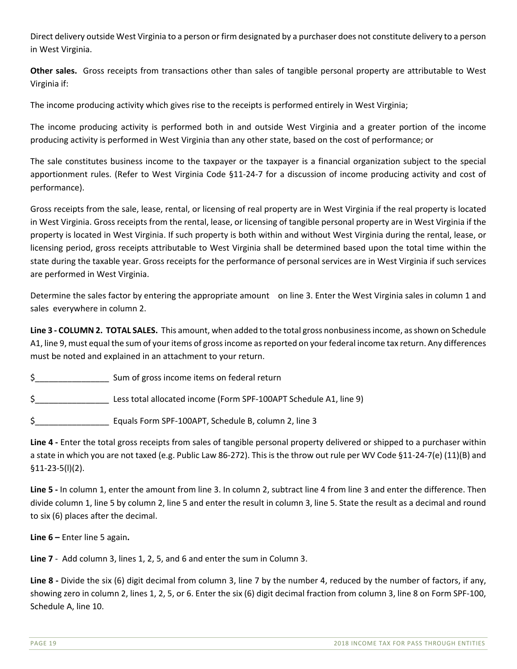Direct delivery outside West Virginia to a person or firm designated by a purchaser does not constitute delivery to a person in West Virginia.

**Other sales.** Gross receipts from transactions other than sales of tangible personal property are attributable to West Virginia if:

The income producing activity which gives rise to the receipts is performed entirely in West Virginia;

The income producing activity is performed both in and outside West Virginia and a greater portion of the income producing activity is performed in West Virginia than any other state, based on the cost of performance; or

The sale constitutes business income to the taxpayer or the taxpayer is a financial organization subject to the special apportionment rules. (Refer to West Virginia Code §11-24-7 for a discussion of income producing activity and cost of performance).

Gross receipts from the sale, lease, rental, or licensing of real property are in West Virginia if the real property is located in West Virginia. Gross receipts from the rental, lease, or licensing of tangible personal property are in West Virginia if the property is located in West Virginia. If such property is both within and without West Virginia during the rental, lease, or licensing period, gross receipts attributable to West Virginia shall be determined based upon the total time within the state during the taxable year. Gross receipts for the performance of personal services are in West Virginia if such services are performed in West Virginia.

Determine the sales factor by entering the appropriate amount on line 3. Enter the West Virginia sales in column 1 and sales everywhere in column 2.

**Line 3 ‐ COLUMN 2. TOTAL SALES.** This amount, when added to the total gross nonbusiness income, as shown on Schedule A1, line 9, must equal the sum of your items of gross income as reported on your federal income tax return. Any differences must be noted and explained in an attachment to your return.

\$ Sum of gross income items on federal return

\$\_\_\_\_\_\_\_\_\_\_\_\_\_\_\_\_ Less total allocated income (Form SPF‐100APT Schedule A1, line 9)

\$\_\_\_\_\_\_\_\_\_\_\_\_\_\_\_\_ Equals Form SPF‐100APT, Schedule B, column 2, line 3

**Line 4 ‐** Enter the total gross receipts from sales of tangible personal property delivered or shipped to a purchaser within a state in which you are not taxed (e.g. Public Law 86‐272). This is the throw out rule per WV Code §11‐24‐7(e) (11)(B) and §11‐23‐5(l)(2).

**Line 5 ‐** In column 1, enter the amount from line 3. In column 2, subtract line 4 from line 3 and enter the difference. Then divide column 1, line 5 by column 2, line 5 and enter the result in column 3, line 5. State the result as a decimal and round to six (6) places after the decimal.

**Line 6 –** Enter line 5 again**.** 

**Line 7** ‐ Add column 3, lines 1, 2, 5, and 6 and enter the sum in Column 3.

Line 8 - Divide the six (6) digit decimal from column 3, line 7 by the number 4, reduced by the number of factors, if any, showing zero in column 2, lines 1, 2, 5, or 6. Enter the six (6) digit decimal fraction from column 3, line 8 on Form SPF‐100, Schedule A, line 10.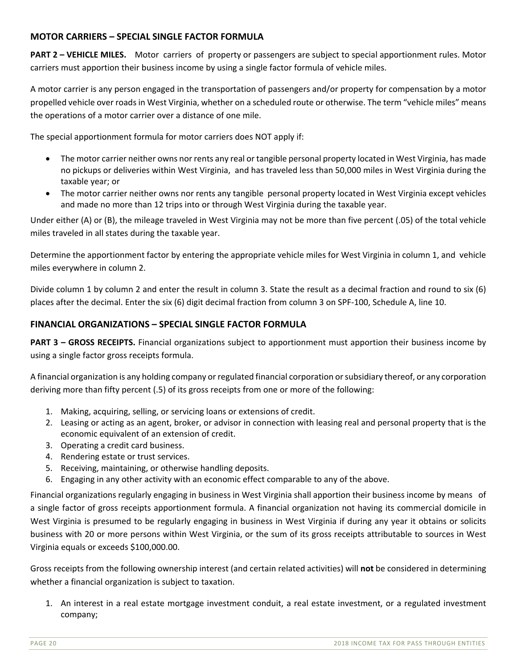#### **MOTOR CARRIERS – SPECIAL SINGLE FACTOR FORMULA**

**PART 2 – VEHICLE MILES.** Motor carriers of property or passengers are subject to special apportionment rules. Motor carriers must apportion their business income by using a single factor formula of vehicle miles.

A motor carrier is any person engaged in the transportation of passengers and/or property for compensation by a motor propelled vehicle over roads in West Virginia, whether on a scheduled route or otherwise. The term "vehicle miles" means the operations of a motor carrier over a distance of one mile.

The special apportionment formula for motor carriers does NOT apply if:

- The motor carrier neither owns nor rents any real or tangible personal property located in West Virginia, has made no pickups or deliveries within West Virginia, and has traveled less than 50,000 miles in West Virginia during the taxable year; or
- The motor carrier neither owns nor rents any tangible personal property located in West Virginia except vehicles and made no more than 12 trips into or through West Virginia during the taxable year.

Under either (A) or (B), the mileage traveled in West Virginia may not be more than five percent (.05) of the total vehicle miles traveled in all states during the taxable year.

Determine the apportionment factor by entering the appropriate vehicle miles for West Virginia in column 1, and vehicle miles everywhere in column 2.

Divide column 1 by column 2 and enter the result in column 3. State the result as a decimal fraction and round to six (6) places after the decimal. Enter the six (6) digit decimal fraction from column 3 on SPF‐100, Schedule A, line 10.

#### **FINANCIAL ORGANIZATIONS – SPECIAL SINGLE FACTOR FORMULA**

**PART 3 – GROSS RECEIPTS.** Financial organizations subject to apportionment must apportion their business income by using a single factor gross receipts formula.

A financial organization is any holding company or regulated financial corporation or subsidiary thereof, or any corporation deriving more than fifty percent (.5) of its gross receipts from one or more of the following:

- 1. Making, acquiring, selling, or servicing loans or extensions of credit.
- 2. Leasing or acting as an agent, broker, or advisor in connection with leasing real and personal property that is the economic equivalent of an extension of credit.
- 3. Operating a credit card business.
- 4. Rendering estate or trust services.
- 5. Receiving, maintaining, or otherwise handling deposits.
- 6. Engaging in any other activity with an economic effect comparable to any of the above.

Financial organizations regularly engaging in business in West Virginia shall apportion their business income by means of a single factor of gross receipts apportionment formula. A financial organization not having its commercial domicile in West Virginia is presumed to be regularly engaging in business in West Virginia if during any year it obtains or solicits business with 20 or more persons within West Virginia, or the sum of its gross receipts attributable to sources in West Virginia equals or exceeds \$100,000.00.

Gross receipts from the following ownership interest (and certain related activities) will **not** be considered in determining whether a financial organization is subject to taxation.

1. An interest in a real estate mortgage investment conduit, a real estate investment, or a regulated investment company;